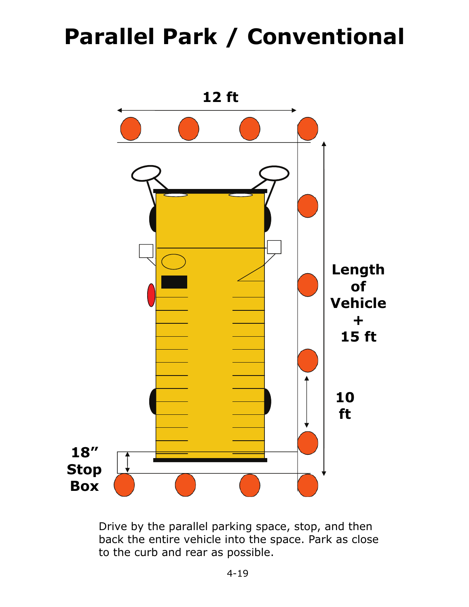## **Parallel Park / Conventional**



Drive by the parallel parking space, stop, and then back the entire vehicle into the space. Park as close to the curb and rear as possible.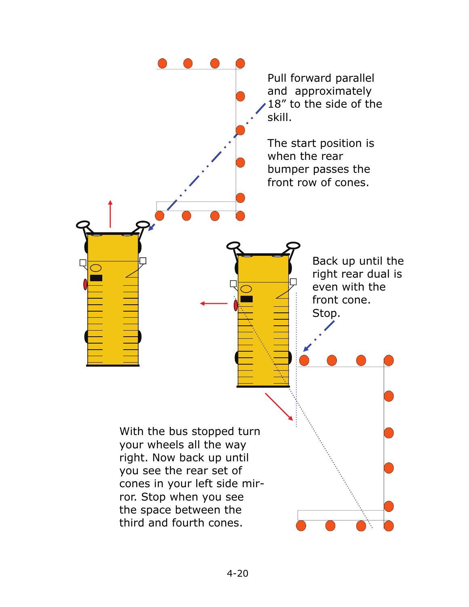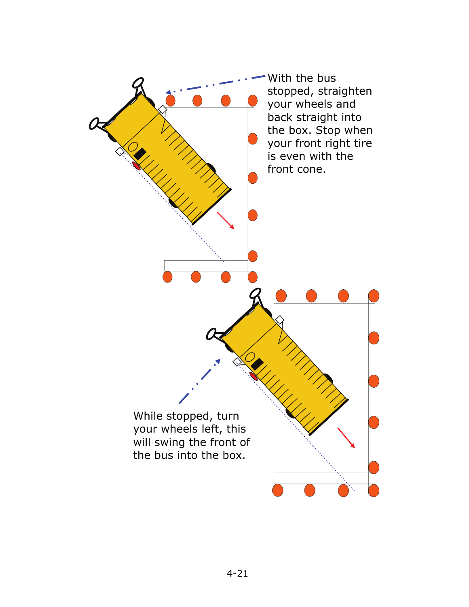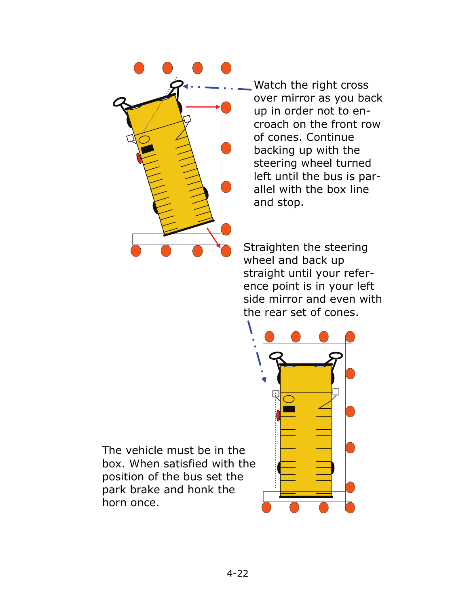

Watch the right cross over mirror as you back up in order not to encroach on the front row of cones. Continue backing up with the steering wheel turned left until the bus is parallel with the box line and stop.

Straighten the steering wheel and back up straight until your reference point is in your left side mirror and even with the rear set of cones.



The vehicle must be in the box. When satisfied with the position of the bus set the park brake and honk the horn once.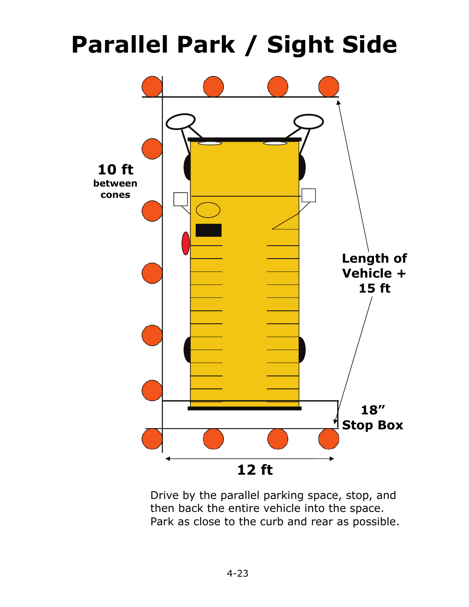## **Parallel Park / Sight Side**



Drive by the parallel parking space, stop, and then back the entire vehicle into the space. Park as close to the curb and rear as possible.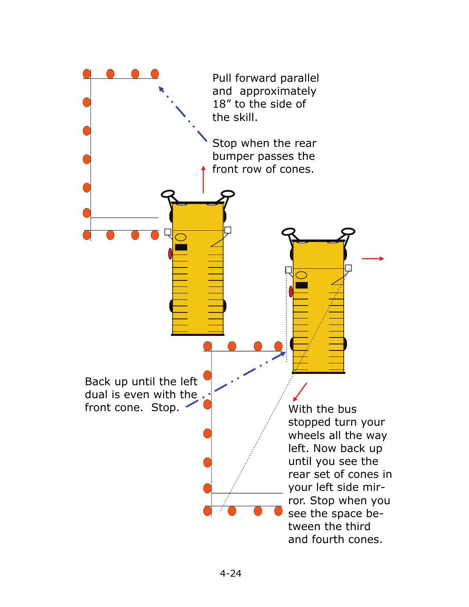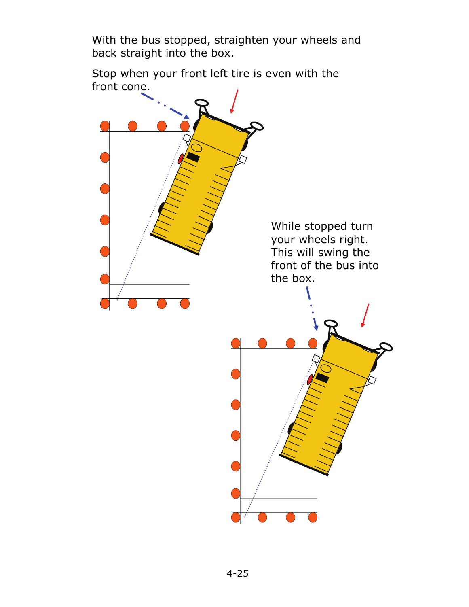With the bus stopped, straighten your wheels and back straight into the box.

Stop when your front left tire is even with the front cone.